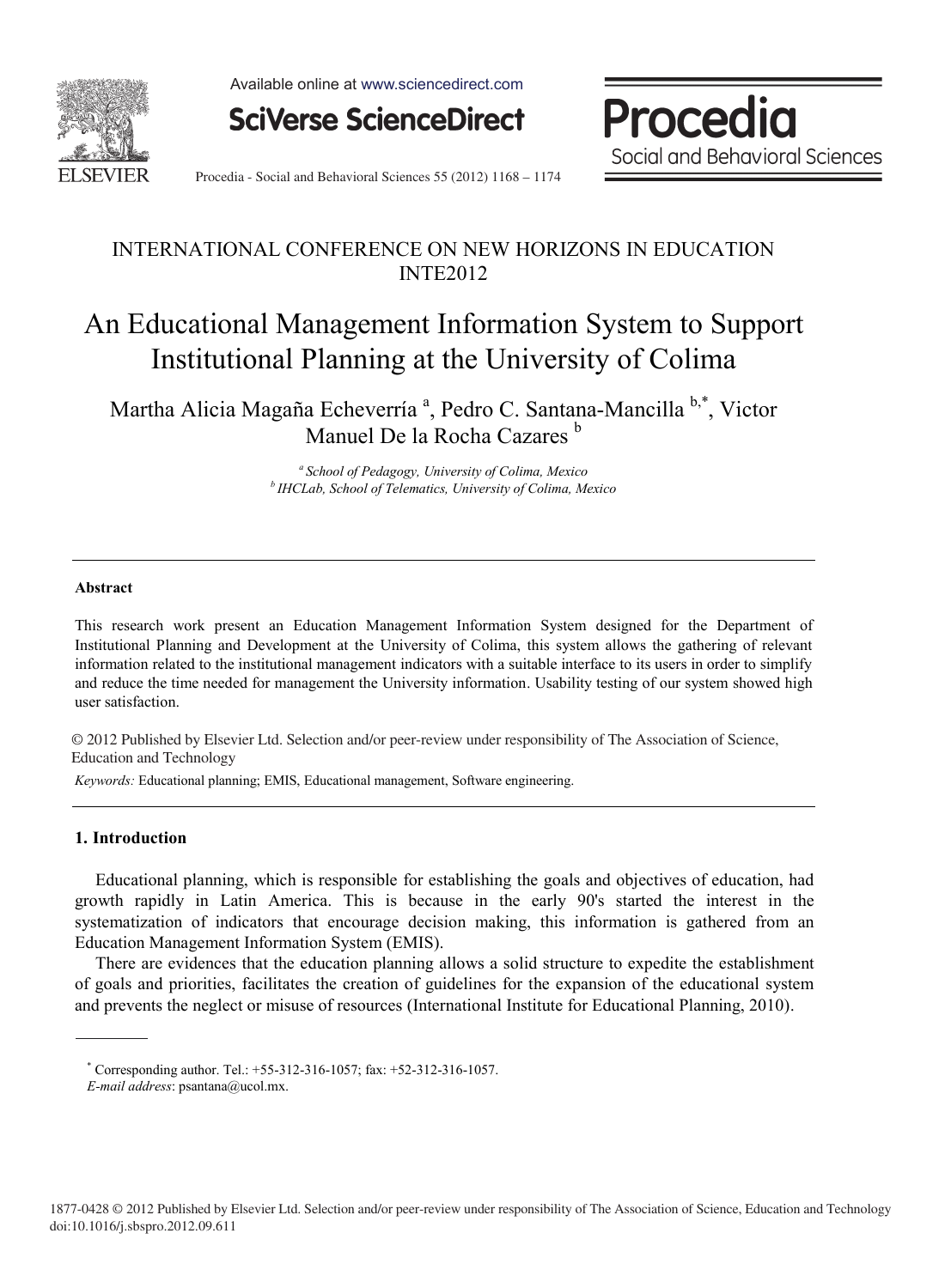

Available online at www.sciencedirect.com

**SciVerse ScienceDirect** 

Procedia Social and Behavioral Sciences

Procedia - Social and Behavioral Sciences 55 (2012) 1168 - 1174

## INTERNATIONAL CONFERENCE ON NEW HORIZONS IN EDUCATION INTE2012

# An Educational Management Information System to Support Institutional Planning at the University of Colima

Martha Alicia Magaña Echeverría<sup>a</sup>, Pedro C. Santana-Mancilla<sup>b,\*</sup>, Victor Manuel De la Rocha Cazares<sup>b</sup>

*<sup>a</sup> School of Pedagogy, University of Colima, Mexico b IHCLab, School of Telematics, University of Colima, Mexico* 

#### **Abstract**

This research work present an Education Management Information System designed for the Department of Institutional Planning and Development at the University of Colima, this system allows the gathering of relevant information related to the institutional management indicators with a suitable interface to its users in order to simplify and reduce the time needed for management the University information. Usability testing of our system showed high user satisfaction.

© 2012 Published by Elsevier Ltd. Selection and/or peer-review under responsibility of The Association of © 2012 Published by Elsevier Ltd. Selection and/or peer-review under responsibility of The Association of Science, Education and Technology

*Keywords:* Educational planning; EMIS, Educational management, Software engineering.

### **1. Introduction**

Educational planning, which is responsible for establishing the goals and objectives of education, had growth rapidly in Latin America. This is because in the early 90's started the interest in the systematization of indicators that encourage decision making, this information is gathered from an Education Management Information System (EMIS).

There are evidences that the education planning allows a solid structure to expedite the establishment of goals and priorities, facilitates the creation of guidelines for the expansion of the educational system and prevents the neglect or misuse of resources (International Institute for Educational Planning, 2010).

<sup>\*</sup> Corresponding author. Tel.: +55-312-316-1057; fax: +52-312-316-1057.

*E-mail address*: psantana@ucol.mx.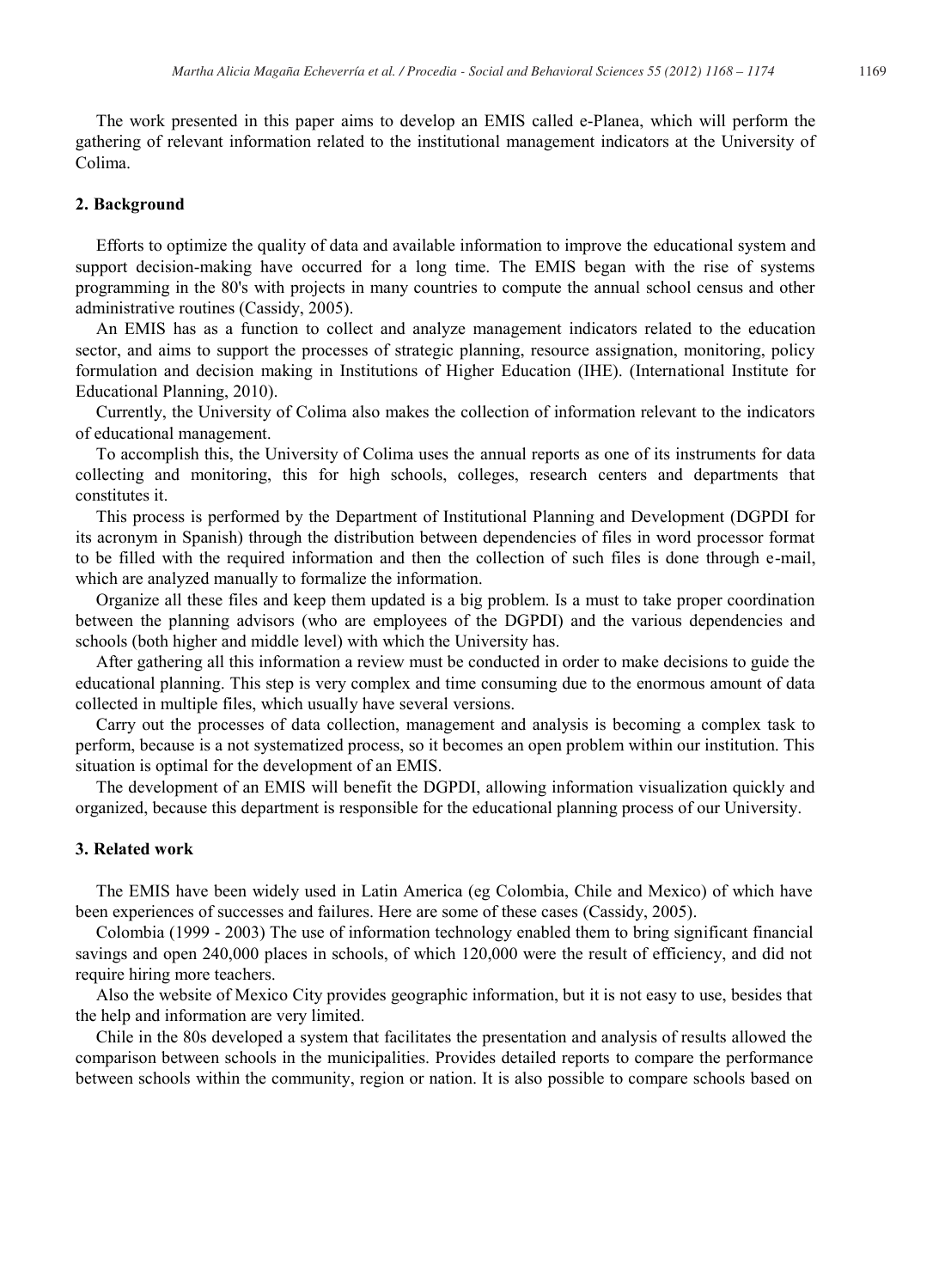The work presented in this paper aims to develop an EMIS called e-Planea, which will perform the gathering of relevant information related to the institutional management indicators at the University of Colima.

### **2. Background**

Efforts to optimize the quality of data and available information to improve the educational system and support decision-making have occurred for a long time. The EMIS began with the rise of systems programming in the 80's with projects in many countries to compute the annual school census and other administrative routines (Cassidy, 2005).

An EMIS has as a function to collect and analyze management indicators related to the education sector, and aims to support the processes of strategic planning, resource assignation, monitoring, policy formulation and decision making in Institutions of Higher Education (IHE). (International Institute for Educational Planning, 2010).

Currently, the University of Colima also makes the collection of information relevant to the indicators of educational management.

To accomplish this, the University of Colima uses the annual reports as one of its instruments for data collecting and monitoring, this for high schools, colleges, research centers and departments that constitutes it.

This process is performed by the Department of Institutional Planning and Development (DGPDI for its acronym in Spanish) through the distribution between dependencies of files in word processor format to be filled with the required information and then the collection of such files is done through e-mail, which are analyzed manually to formalize the information.

Organize all these files and keep them updated is a big problem. Is a must to take proper coordination between the planning advisors (who are employees of the DGPDI) and the various dependencies and schools (both higher and middle level) with which the University has.

After gathering all this information a review must be conducted in order to make decisions to guide the educational planning. This step is very complex and time consuming due to the enormous amount of data collected in multiple files, which usually have several versions.

Carry out the processes of data collection, management and analysis is becoming a complex task to perform, because is a not systematized process, so it becomes an open problem within our institution. This situation is optimal for the development of an EMIS.

The development of an EMIS will benefit the DGPDI, allowing information visualization quickly and organized, because this department is responsible for the educational planning process of our University.

#### **3. Related work**

The EMIS have been widely used in Latin America (eg Colombia, Chile and Mexico) of which have been experiences of successes and failures. Here are some of these cases (Cassidy, 2005).

Colombia (1999 - 2003) The use of information technology enabled them to bring significant financial savings and open 240,000 places in schools, of which  $120,000$  were the result of efficiency, and did not require hiring more teachers.

Also the website of Mexico City provides geographic information, but it is not easy to use, besides that the help and information are very limited.

Chile in the 80s developed a system that facilitates the presentation and analysis of results allowed the comparison between schools in the municipalities. Provides detailed reports to compare the performance between schools within the community, region or nation. It is also possible to compare schools based on